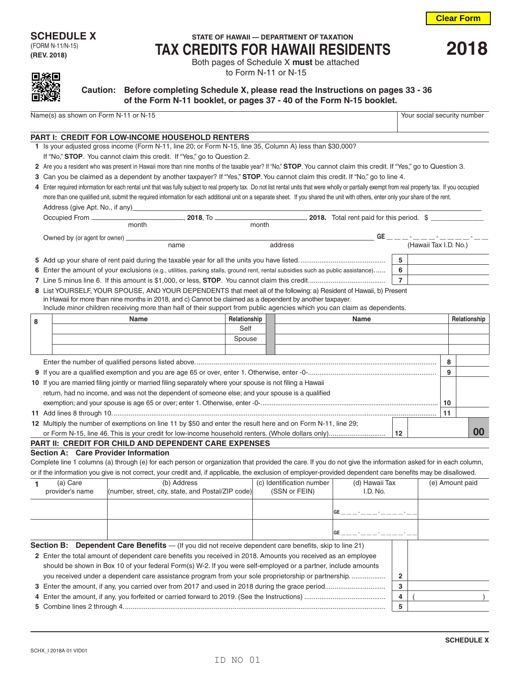# (FORM N-11/N-15)

**(REV. 2018)**

## **SCHEDULE X** STATE OF HAWAII — DEPARTMENT OF TAXATION **TAX CREDITS FOR HAWAII RESIDENTS <sup>2018</sup>** Both pages of Schedule X **must** be attached

to Form N-11 or N-15



### **Caution: Before completing Schedule X, please read the Instructions on pages 33 - 36 of the Form N-11 booklet, or pages 37 - 40 of the Form N-15 booklet.**

Name(s) as shown on Form N-11 or N-15 Your social security number

#### **PART I: CREDIT FOR LOW-INCOME HOUSEHOLD RENTERS**

- **1** Is your adjusted gross income (Form N-11, line 20; or Form N-15, line 35, Column A) less than \$30,000?
- If "No," **STOP**. You cannot claim this credit. If "Yes," go to Question 2.
- **2** Are you a resident who was present in Hawaii more than nine months of the taxable year? If "No," **STOP**. You cannot claim this credit. If "Yes," go to Question 3.
- **3** Can you be claimed as a dependent by another taxpayer? If "Yes," **STOP**. You cannot claim this credit. If "No," go to line 4.

|                                 |                    |       | 4 Enter required information for each rental unit that was fully subject to real property tax. Do not list rental units that were wholly or partially exempt from real property tax. If you occupied |
|---------------------------------|--------------------|-------|------------------------------------------------------------------------------------------------------------------------------------------------------------------------------------------------------|
|                                 |                    |       | more than one qualified unit, submit the required information for each additional unit on a separate sheet. If you shared the unit with others, enter only your share of the rent.                   |
| Address (give Apt. No., if any) |                    |       |                                                                                                                                                                                                      |
| Occupied From _                 | $\,$ 2018. To $\,$ |       | 2018. Total rent paid for this period. \$                                                                                                                                                            |
| month                           |                    | month |                                                                                                                                                                                                      |

| GE.<br>Owned by (or agent for owner) ____ |      |                                                                                                                                  |  |                       |  |
|-------------------------------------------|------|----------------------------------------------------------------------------------------------------------------------------------|--|-----------------------|--|
|                                           | name | address                                                                                                                          |  | (Hawaii Tax I.D. No.) |  |
|                                           |      |                                                                                                                                  |  | 5                     |  |
|                                           |      | 6 Enter the amount of your exclusions (e.g., utilities, parking stalls, ground rent, rental subsidies such as public assistance) |  | 6                     |  |
|                                           |      |                                                                                                                                  |  |                       |  |
|                                           |      | 8 List YOURSELF, YOUR SPOUSE, AND YOUR DEPENDENTS that meet all of the following: a) Resident of Hawaii, b) Present              |  |                       |  |
|                                           |      | in Hawaii for more than nine months in 2018, and c) Cannot be claimed as a dependent by another taxpayer.                        |  |                       |  |

Include minor children receiving more than half of their support from public agencies which you can claim as dependents.

| 8 |  | <b>Name</b>                                                                                                  | Relationship |  | <b>Name</b> |    |    | Relationship |
|---|--|--------------------------------------------------------------------------------------------------------------|--------------|--|-------------|----|----|--------------|
|   |  |                                                                                                              | Self         |  |             |    |    |              |
|   |  |                                                                                                              | Spouse       |  |             |    |    |              |
|   |  |                                                                                                              |              |  |             |    |    |              |
|   |  |                                                                                                              |              |  |             |    | 8  |              |
|   |  |                                                                                                              |              |  |             |    | 9  |              |
|   |  | 10 If you are married filing jointly or married filing separately where your spouse is not filing a Hawaii   |              |  |             |    |    |              |
|   |  | return, had no income, and was not the dependent of someone else; and your spouse is a qualified             |              |  |             |    |    |              |
|   |  |                                                                                                              |              |  |             |    | 10 |              |
|   |  |                                                                                                              |              |  |             |    | 11 |              |
|   |  | 12 Multiply the number of exemptions on line 11 by \$50 and enter the result here and on Form N-11, line 29; |              |  |             |    |    |              |
|   |  |                                                                                                              |              |  |             | 12 |    |              |
|   |  | <b>PART II: CREDIT FOR CHILD AND DEPENDENT CARE EXPENSES</b>                                                 |              |  |             |    |    |              |

### **Section A: Care Provider Information**

Complete line 1 columns (a) through (e) for each person or organization that provided the care. If you do not give the information asked for in each column, or if the information you give is not correct, your credit and, if applicable, the exclusion of employer-provided dependent care benefits may be disallowed.

| (a) Care        | (b) Address                                                                                                     | (c) Identification number | (d) Hawaii Tax |   | (e) Amount paid |
|-----------------|-----------------------------------------------------------------------------------------------------------------|---------------------------|----------------|---|-----------------|
| provider's name | (number, street, city, state, and Postal/ZIP code)                                                              | (SSN or FEIN)             | I.D. No.       |   |                 |
|                 |                                                                                                                 |                           |                |   |                 |
|                 |                                                                                                                 |                           |                |   |                 |
|                 |                                                                                                                 |                           | GE             |   |                 |
|                 | <b>Section B:</b> Dependent Care Benefits $-$ (If you did not receive dependent care benefits, skip to line 21) |                           |                |   |                 |
|                 | 2 Enter the total amount of dependent care benefits you received in 2018. Amounts you received as an employee   |                           |                |   |                 |
|                 | should be shown in Box 10 of your federal Form(s) W-2. If you were self-employed or a partner, include amounts  |                           |                |   |                 |
|                 | you received under a dependent care assistance program from your sole proprietorship or partnership             |                           |                | 2 |                 |

| 4 |  |
|---|--|

**5** Combine lines 2 through 4........................................................................................................................................... **5** )